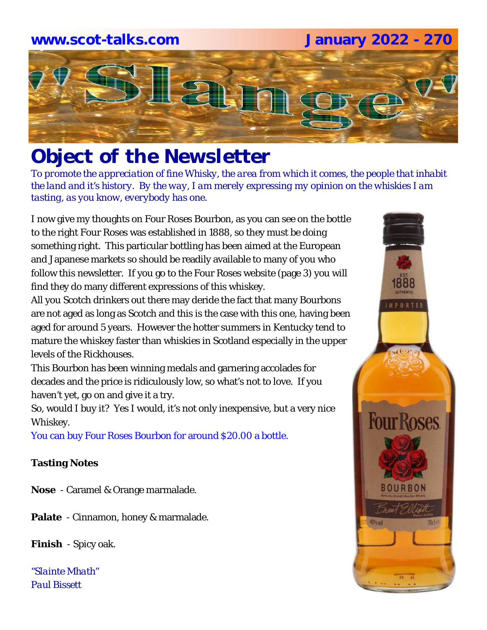# **www.scot-talks.com January 2022 - 270**Lair

# *Object of the Newsletter*

*To promote the appreciation of fine Whisky, the area from which it comes, the people that inhabit the land and it's history. By the way, I am merely expressing my opinion on the whiskies I am tasting, as you know, everybody has one.* 

I now give my thoughts on Four Roses Bourbon, as you can see on the bottle to the right Four Roses was established in 1888, so they must be doing something right. This particular bottling has been aimed at the European and Japanese markets so should be readily available to many of you who follow this newsletter. If you go to the Four Roses website (page 3) you will find they do many different expressions of this whiskey.

All you Scotch drinkers out there may deride the fact that many Bourbons are not aged as long as Scotch and this is the case with this one, having been aged for around 5 years. However the hotter summers in Kentucky tend to mature the whiskey faster than whiskies in Scotland especially in the upper levels of the Rickhouses.

This Bourbon has been winning medals and garnering accolades for decades and the price is ridiculously low, so what's not to love. If you haven't yet, go on and give it a try.

So, would I buy it? Yes I would, it's not only inexpensive, but a very nice Whiskey.

You can buy Four Roses Bourbon for around \$20.00 a bottle.

#### **Tasting Notes**

**Nose** - Caramel & Orange marmalade.

**Palate** - Cinnamon, honey & marmalade.

**Finish** - Spicy oak.

*"Slainte Mhath" Paul Bissett*

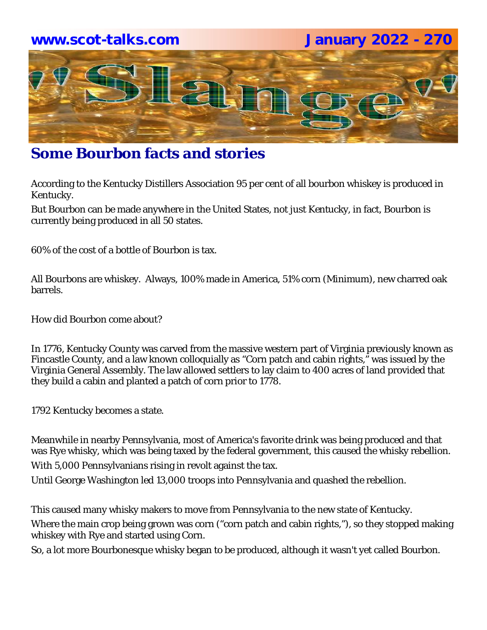### **www.scot-talks.com January 2022 - 270**



# **Some Bourbon facts and stories**

According to the Kentucky Distillers Association 95 per cent of all bourbon whiskey is produced in Kentucky.

But Bourbon can be made anywhere in the United States, not just Kentucky, in fact, Bourbon is currently being produced in all 50 states.

60% of the cost of a bottle of Bourbon is tax.

All Bourbons are whiskey. Always, 100% made in America, 51% corn (Minimum), new charred oak barrels.

How did Bourbon come about?

In 1776, Kentucky County was carved from the massive western part of Virginia previously known as Fincastle County, and a law known colloquially as "Corn patch and cabin rights," was issued by the Virginia General Assembly. The law allowed settlers to lay claim to 400 acres of land provided that they build a cabin and planted a patch of corn prior to 1778.

1792 Kentucky becomes a state.

Meanwhile in nearby Pennsylvania, most of America's favorite drink was being produced and that was Rye whisky, which was being taxed by the federal government, this caused the whisky rebellion. With 5,000 Pennsylvanians rising in revolt against the tax.

Until George Washington led 13,000 troops into Pennsylvania and quashed the rebellion.

This caused many whisky makers to move from Pennsylvania to the new state of Kentucky. Where the main crop being grown was corn ("corn patch and cabin rights,"), so they stopped making whiskey with Rye and started using Corn.

So, a lot more Bourbonesque whisky began to be produced, although it wasn't yet called Bourbon.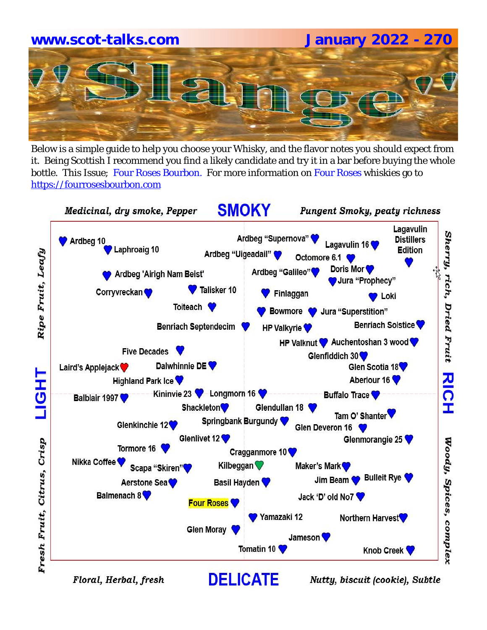# **www.scot-talks.com January 2022 - 270**

Below is a simple guide to help you choose your Whisky, and the flavor notes you should expect from it. Being Scottish I recommend you find a likely candidate and try it in a bar before buying the whole bottle. This Issue; Four Roses Bourbon. For more information on Four Roses whiskies go to https://fourrosesbourbon.com



Floral, Herbal, fresh

Nutty, biscuit (cookie), Subtle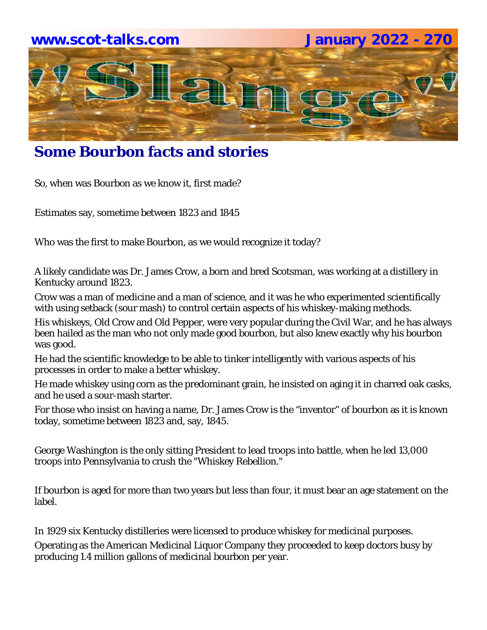

## **Some Bourbon facts and stories**

So, when was Bourbon as we know it, first made?

Estimates say, sometime between 1823 and 1845

Who was the first to make Bourbon, as we would recognize it today?

A likely candidate was Dr. James Crow, a born and bred Scotsman, was working at a distillery in Kentucky around 1823.

Crow was a man of medicine and a man of science, and it was he who experimented scientifically with using setback (sour mash) to control certain aspects of his whiskey-making methods.

His whiskeys, Old Crow and Old Pepper, were very popular during the Civil War, and he has always been hailed as the man who not only made good bourbon, but also knew exactly why his bourbon was good.

He had the scientific knowledge to be able to tinker intelligently with various aspects of his processes in order to make a better whiskey.

He made whiskey using corn as the predominant grain, he insisted on aging it in charred oak casks, and he used a sour-mash starter.

For those who insist on having a name, Dr. James Crow is the "inventor" of bourbon as it is known today, sometime between 1823 and, say, 1845.

George Washington is the only sitting President to lead troops into battle, when he led 13,000 troops into Pennsylvania to crush the "Whiskey Rebellion."

If bourbon is aged for more than two years but less than four, it must bear an age statement on the label.

In 1929 six Kentucky distilleries were licensed to produce whiskey for medicinal purposes.

Operating as the American Medicinal Liquor Company they proceeded to keep doctors busy by producing 1.4 million gallons of medicinal bourbon per year.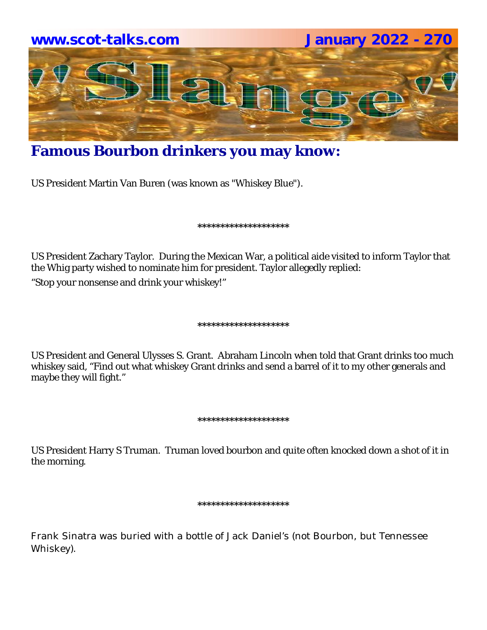

# **Famous Bourbon drinkers you may know:**

US President Martin Van Buren (was known as "Whiskey Blue").

#### **\*\*\*\*\*\*\*\*\*\*\*\*\*\*\*\*\*\*\*\***

US President Zachary Taylor. During the Mexican War, a political aide visited to inform Taylor that the Whig party wished to nominate him for president. Taylor allegedly replied:

"Stop your nonsense and drink your whiskey!"

#### **\*\*\*\*\*\*\*\*\*\*\*\*\*\*\*\*\*\*\*\***

US President and General Ulysses S. Grant. Abraham Lincoln when told that Grant drinks too much whiskey said, "Find out what whiskey Grant drinks and send a barrel of it to my other generals and maybe they will fight."

#### **\*\*\*\*\*\*\*\*\*\*\*\*\*\*\*\*\*\*\*\***

US President Harry S Truman. Truman loved bourbon and quite often knocked down a shot of it in the morning.

#### **\*\*\*\*\*\*\*\*\*\*\*\*\*\*\*\*\*\*\*\***

Frank Sinatra was buried with a bottle of Jack Daniel's (not Bourbon, but Tennessee Whiskey).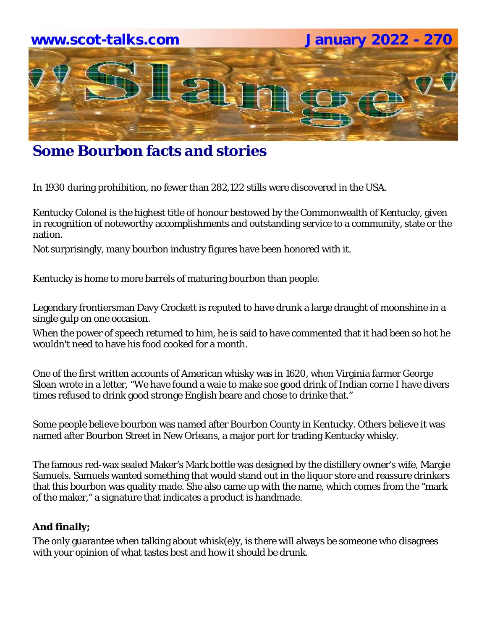

# **Some Bourbon facts and stories**

In 1930 during prohibition, no fewer than 282,122 stills were discovered in the USA.

Kentucky Colonel is the highest title of honour bestowed by the Commonwealth of Kentucky, given in recognition of noteworthy accomplishments and outstanding service to a community, state or the nation.

Not surprisingly, many bourbon industry figures have been honored with it.

Kentucky is home to more barrels of maturing bourbon than people.

Legendary frontiersman Davy Crockett is reputed to have drunk a large draught of moonshine in a single gulp on one occasion.

When the power of speech returned to him, he is said to have commented that it had been so hot he wouldn't need to have his food cooked for a month.

One of the first written accounts of American whisky was in 1620, when Virginia farmer George Sloan wrote in a letter, "We have found a waie to make soe good drink of Indian corne I have divers times refused to drink good stronge English beare and chose to drinke that."

Some people believe bourbon was named after Bourbon County in Kentucky. Others believe it was named after Bourbon Street in New Orleans, a major port for trading Kentucky whisky.

The famous red-wax sealed Maker's Mark bottle was designed by the distillery owner's wife, Margie Samuels. Samuels wanted something that would stand out in the liquor store and reassure drinkers that this bourbon was quality made. She also came up with the name, which comes from the "mark of the maker," a signature that indicates a product is handmade.

#### **And finally;**

The only guarantee when talking about whisk(e)y, is there will always be someone who disagrees with your opinion of what tastes best and how it should be drunk.